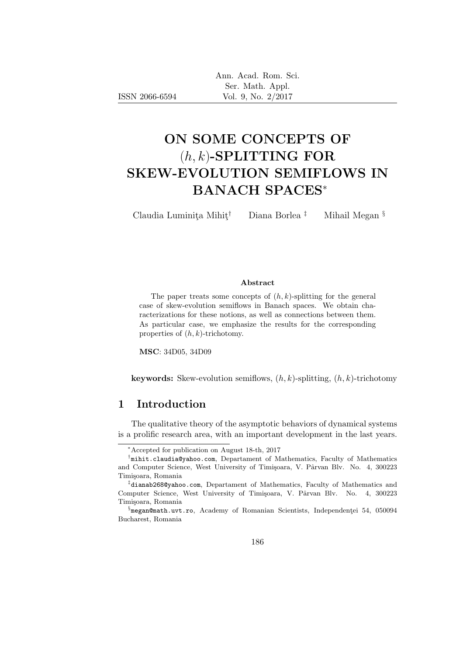|                | Ann. Acad. Rom. Sci. |
|----------------|----------------------|
|                | Ser. Math. Appl.     |
| ISSN 2066-6594 | Vol. 9, No. $2/2017$ |

# ON SOME CONCEPTS OF  $(h, k)$ -SPLITTING FOR SKEW-EVOLUTION SEMIFLOWS IN BANACH SPACES<sup>∗</sup>

Claudia Luminita Mihit<sup>†</sup> Diana Borlea <sup>‡</sup> Mihail Megan §

#### Abstract

The paper treats some concepts of  $(h, k)$ -splitting for the general case of skew-evolution semiflows in Banach spaces. We obtain characterizations for these notions, as well as connections between them. As particular case, we emphasize the results for the corresponding properties of  $(h, k)$ -trichotomy.

MSC: 34D05, 34D09

**keywords:** Skew-evolution semiflows,  $(h, k)$ -splitting,  $(h, k)$ -trichotomy

### 1 Introduction

The qualitative theory of the asymptotic behaviors of dynamical systems is a prolific research area, with an important development in the last years.

<sup>∗</sup>Accepted for publication on August 18-th, 2017

<sup>†</sup> mihit.claudia@yahoo.com, Departament of Mathematics, Faculty of Mathematics and Computer Science, West University of Timișoara, V. Pârvan Blv. No. 4, 300223 Timișoara, Romania

<sup>‡</sup> dianab268@yahoo.com, Departament of Mathematics, Faculty of Mathematics and Computer Science, West University of Timișoara, V. Pârvan Blv. No. 4, 300223 Timişoara, Romania

 $\S$ megan@math.uvt.ro, Academy of Romanian Scientists, Independenței 54, 050094 Bucharest, Romania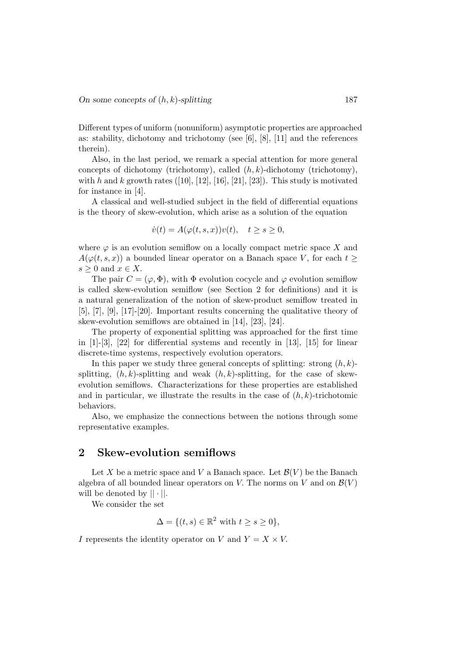Different types of uniform (nonuniform) asymptotic properties are approached as: stability, dichotomy and trichotomy (see [6], [8], [11] and the references therein).

Also, in the last period, we remark a special attention for more general concepts of dichotomy (trichotomy), called  $(h, k)$ -dichotomy (trichotomy), with h and k growth rates  $([10], [12], [16], [21], [23])$ . This study is motivated for instance in [4].

A classical and well-studied subject in the field of differential equations is the theory of skew-evolution, which arise as a solution of the equation

$$
\dot{v}(t) = A(\varphi(t, s, x))v(t), \quad t \ge s \ge 0,
$$

where  $\varphi$  is an evolution semiflow on a locally compact metric space X and  $A(\varphi(t,s,x))$  a bounded linear operator on a Banach space V, for each  $t >$  $s \geq 0$  and  $x \in X$ .

The pair  $C = (\varphi, \Phi)$ , with  $\Phi$  evolution cocycle and  $\varphi$  evolution semiflow is called skew-evolution semiflow (see Section 2 for definitions) and it is a natural generalization of the notion of skew-product semiflow treated in [5], [7], [9], [17]-[20]. Important results concerning the qualitative theory of skew-evolution semiflows are obtained in [14], [23], [24].

The property of exponential splitting was approached for the first time in  $[1]-[3]$ ,  $[22]$  for differential systems and recently in  $[13]$ ,  $[15]$  for linear discrete-time systems, respectively evolution operators.

In this paper we study three general concepts of splitting: strong  $(h, k)$ splitting,  $(h, k)$ -splitting and weak  $(h, k)$ -splitting, for the case of skewevolution semiflows. Characterizations for these properties are established and in particular, we illustrate the results in the case of  $(h, k)$ -trichotomic behaviors.

Also, we emphasize the connections between the notions through some representative examples.

#### 2 Skew-evolution semiflows

Let X be a metric space and V a Banach space. Let  $\mathcal{B}(V)$  be the Banach algebra of all bounded linear operators on V. The norms on V and on  $\mathcal{B}(V)$ will be denoted by  $|| \cdot ||$ .

We consider the set

$$
\Delta = \{ (t, s) \in \mathbb{R}^2 \text{ with } t \ge s \ge 0 \},
$$

I represents the identity operator on V and  $Y = X \times V$ .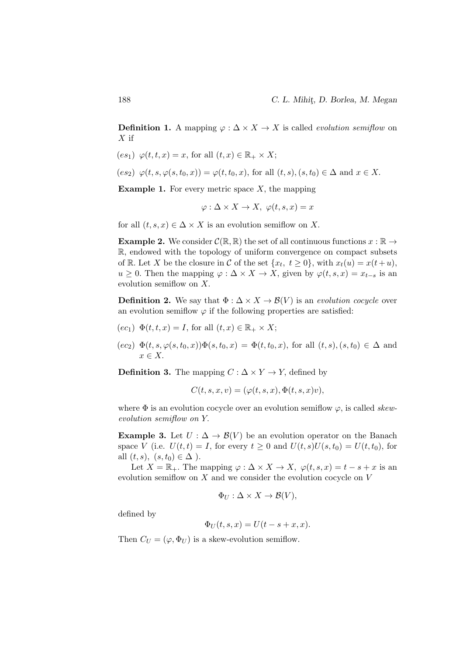**Definition 1.** A mapping  $\varphi : \Delta \times X \to X$  is called *evolution semiflow* on  $X$  if

- $(e s_1) \varphi(t, t, x) = x$ , for all  $(t, x) \in \mathbb{R}_+ \times X$ ;
- $(e s_2) \varphi(t, s, \varphi(s, t_0, x)) = \varphi(t, t_0, x)$ , for all  $(t, s), (s, t_0) \in \Delta$  and  $x \in X$ .

**Example 1.** For every metric space  $X$ , the mapping

$$
\varphi: \Delta \times X \to X, \ \varphi(t, s, x) = x
$$

for all  $(t, s, x) \in \Delta \times X$  is an evolution semiflow on X.

**Example 2.** We consider  $\mathcal{C}(\mathbb{R}, \mathbb{R})$  the set of all continuous functions  $x : \mathbb{R} \to$ R, endowed with the topology of uniform convergence on compact subsets of R. Let X be the closure in C of the set  $\{x_t, t \geq 0\}$ , with  $x_t(u) = x(t+u)$ ,  $u \geq 0$ . Then the mapping  $\varphi : \Delta \times X \to X$ , given by  $\varphi(t, s, x) = x_{t-s}$  is an evolution semiflow on X.

**Definition 2.** We say that  $\Phi : \Delta \times X \to \mathcal{B}(V)$  is an evolution cocycle over an evolution semiflow  $\varphi$  if the following properties are satisfied:

$$
(ec_1)
$$
  $\Phi(t,t,x) = I$ , for all  $(t,x) \in \mathbb{R}_+ \times X$ ;

 $(ec_2) \Phi(t, s, \varphi(s, t_0, x))\Phi(s, t_0, x) = \Phi(t, t_0, x),$  for all  $(t, s), (s, t_0) \in \Delta$  and  $x \in X$ .

**Definition 3.** The mapping  $C : \Delta \times Y \to Y$ , defined by

$$
C(t, s, x, v) = (\varphi(t, s, x), \Phi(t, s, x)v),
$$

where  $\Phi$  is an evolution cocycle over an evolution semiflow  $\varphi$ , is called *skew*evolution semiflow on Y.

**Example 3.** Let  $U : \Delta \to \mathcal{B}(V)$  be an evolution operator on the Banach space V (i.e.  $U(t,t) = I$ , for every  $t \geq 0$  and  $U(t, s)U(s, t_0) = U(t, t_0)$ , for all  $(t, s)$ ,  $(s, t_0) \in \Delta$ ).

Let  $X = \mathbb{R}_+$ . The mapping  $\varphi : \Delta \times X \to X$ ,  $\varphi(t, s, x) = t - s + x$  is an evolution semiflow on  $X$  and we consider the evolution cocycle on  $V$ 

$$
\Phi_U : \Delta \times X \to \mathcal{B}(V),
$$

defined by

$$
\Phi_U(t,s,x) = U(t-s+x,x).
$$

Then  $C_U = (\varphi, \Phi_U)$  is a skew-evolution semiflow.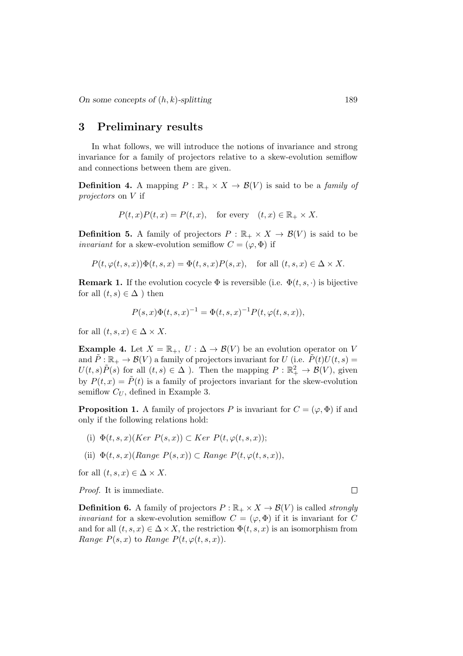#### 3 Preliminary results

In what follows, we will introduce the notions of invariance and strong invariance for a family of projectors relative to a skew-evolution semiflow and connections between them are given.

**Definition 4.** A mapping  $P : \mathbb{R}_+ \times X \to \mathcal{B}(V)$  is said to be a *family of* projectors on V if

$$
P(t,x)P(t,x) = P(t,x), \quad \text{for every} \quad (t,x) \in \mathbb{R}_+ \times X.
$$

**Definition 5.** A family of projectors  $P : \mathbb{R}_+ \times X \to \mathcal{B}(V)$  is said to be *invariant* for a skew-evolution semiflow  $C = (\varphi, \Phi)$  if

$$
P(t, \varphi(t, s, x))\Phi(t, s, x) = \Phi(t, s, x)P(s, x), \text{ for all } (t, s, x) \in \Delta \times X.
$$

**Remark 1.** If the evolution cocycle  $\Phi$  is reversible (i.e.  $\Phi(t, s, \cdot)$  is bijective for all  $(t, s) \in \Delta$ ) then

$$
P(s,x)\Phi(t,s,x)^{-1} = \Phi(t,s,x)^{-1}P(t,\varphi(t,s,x)),
$$

for all  $(t, s, x) \in \Delta \times X$ .

**Example 4.** Let  $X = \mathbb{R}_+$ ,  $U : \Delta \to \mathcal{B}(V)$  be an evolution operator on V and  $\tilde{P}: \mathbb{R}_+ \to \mathcal{B}(V)$  a family of projectors invariant for U (i.e.  $\tilde{P}(t)U(t, s) =$  $U(t, s)\tilde{P}(s)$  for all  $(t, s) \in \Delta$  ). Then the mapping  $P : \mathbb{R}^2_+ \to \mathcal{B}(V)$ , given by  $P(t, x) = \tilde{P}(t)$  is a family of projectors invariant for the skew-evolution semiflow  $C_U$ , defined in Example 3.

**Proposition 1.** A family of projectors P is invariant for  $C = (\varphi, \Phi)$  if and only if the following relations hold:

- (i)  $\Phi(t, s, x)(Ker P(s, x)) \subset Ker P(t, \varphi(t, s, x));$
- (ii)  $\Phi(t, s, x)(Range P(s, x)) \subset Range P(t, \varphi(t, s, x)),$

for all  $(t, s, x) \in \Delta \times X$ .

Proof. It is immediate.

**Definition 6.** A family of projectors  $P : \mathbb{R}_+ \times X \to \mathcal{B}(V)$  is called *strongly invariant* for a skew-evolution semiflow  $C = (\varphi, \Phi)$  if it is invariant for C and for all  $(t, s, x) \in \Delta \times X$ , the restriction  $\Phi(t, s, x)$  is an isomorphism from Range  $P(s, x)$  to Range  $P(t, \varphi(t, s, x))$ .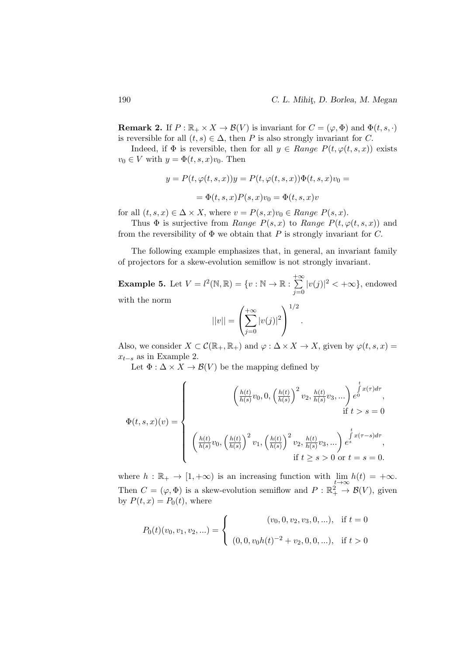**Remark 2.** If  $P : \mathbb{R}_+ \times X \to \mathcal{B}(V)$  is invariant for  $C = (\varphi, \Phi)$  and  $\Phi(t, s, \cdot)$ is reversible for all  $(t, s) \in \Delta$ , then P is also strongly invariant for C.

Indeed, if  $\Phi$  is reversible, then for all  $y \in Range P(t, \varphi(t, s, x))$  exists  $v_0 \in V$  with  $y = \Phi(t, s, x)v_0$ . Then

$$
y = P(t, \varphi(t, s, x))y = P(t, \varphi(t, s, x))\Phi(t, s, x)v_0 =
$$
  
=  $\Phi(t, s, x)P(s, x)v_0 = \Phi(t, s, x)v$ 

for all  $(t, s, x) \in \Delta \times X$ , where  $v = P(s, x)v_0 \in Range P(s, x)$ .

Thus  $\Phi$  is surjective from Range  $P(s, x)$  to Range  $P(t, \varphi(t, s, x))$  and from the reversibility of  $\Phi$  we obtain that P is strongly invariant for C.

The following example emphasizes that, in general, an invariant family of projectors for a skew-evolution semiflow is not strongly invariant.

**Example 5.** Let  $V = l^2(\mathbb{N}, \mathbb{R}) = \{v : \mathbb{N} \to \mathbb{R} : \sum_{i=1}^{+\infty}$  $j=0$  $|v(j)|^2 < +\infty$ , endowed

with the norm

$$
||v|| = \left(\sum_{j=0}^{+\infty} |v(j)|^2\right)^{1/2}
$$

.

Also, we consider  $X \subset \mathcal{C}(\mathbb{R}_+, \mathbb{R}_+)$  and  $\varphi : \Delta \times X \to X$ , given by  $\varphi(t, s, x) =$  $x_{t-s}$  as in Example 2.

Let  $\Phi : \Delta \times X \to \mathcal{B}(V)$  be the mapping defined by

$$
\Phi(t,s,x)(v) = \begin{cases} \begin{aligned} \left(\frac{h(t)}{h(s)}v_0,0,\left(\frac{h(t)}{h(s)}\right)^2v_2,\frac{h(t)}{h(s)}v_3,\ldots\right)e^{\int\limits_0^t x(\tau)d\tau},\\ \text{if}\; t>s=0\\ \left(\frac{h(t)}{h(s)}v_0,\left(\frac{h(t)}{h(s)}\right)^2v_1,\left(\frac{h(t)}{h(s)}\right)^2v_2,\frac{h(t)}{h(s)}v_3,\ldots\right)e^{\int\limits_s^t x(\tau-s)d\tau},\\ \text{if}\; t\geq s>0\;\text{or}\; t=s=0. \end{aligned} \end{cases}
$$

where  $h : \mathbb{R}_+ \to [1, +\infty)$  is an increasing function with  $\lim_{t \to \infty} h(t) = +\infty$ . Then  $C = (\varphi, \Phi)$  is a skew-evolution semiflow and  $P : \mathbb{R}^2_+ \to \mathcal{B}(V)$ , given by  $P(t, x) = P_0(t)$ , where

$$
P_0(t)(v_0, v_1, v_2, \ldots) = \begin{cases} (v_0, 0, v_2, v_3, 0, \ldots), & \text{if } t = 0 \\ (0, 0, v_0 h(t)^{-2} + v_2, 0, 0, \ldots), & \text{if } t > 0 \end{cases}
$$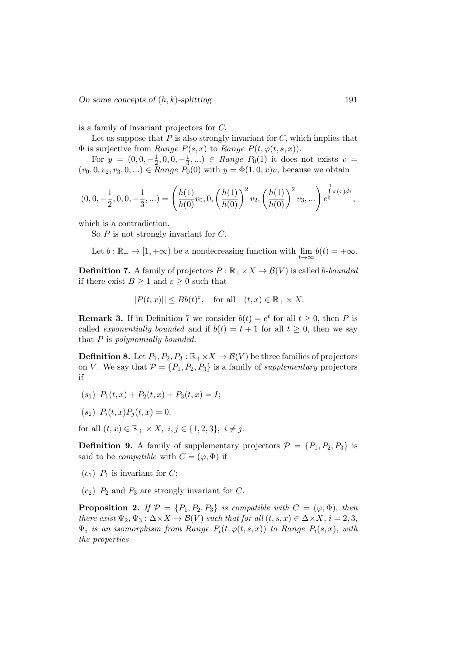is a family of invariant projectors for C.

Let us suppose that  $P$  is also strongly invariant for  $C$ , which implies that  $\Phi$  is surjective from Range  $P(s, x)$  to Range  $P(t, \varphi(t, s, x))$ .

For  $y = (0,0,-\frac{1}{2})$  $\frac{1}{2}$ , 0, 0,  $-\frac{1}{3}$  $(\frac{1}{3},...) \in Range P_0(1)$  it does not exists  $v =$  $(v_0, 0, v_2, v_3, 0, ...) \in Range P_0(0)$  with  $y = \Phi(1, 0, x)v$ , because we obtain

$$
(0,0,-\frac{1}{2},0,0,-\frac{1}{3},\ldots)=\left(\frac{h(1)}{h(0)}v_0,0,\left(\frac{h(1)}{h(0)}\right)^2v_2,\left(\frac{h(1)}{h(0)}\right)^2v_3,\ldots\right)e^{\int_0^1x(\tau)d\tau},
$$

which is a contradiction.

So  $P$  is not strongly invariant for  $C$ .

Let  $b : \mathbb{R}_+ \to [1, +\infty)$  be a nondecreasing function with  $\lim_{t \to \infty} b(t) = +\infty$ .

**Definition 7.** A family of projectors  $P : \mathbb{R}_+ \times X \to \mathcal{B}(V)$  is called b-bounded if there exist  $B \ge 1$  and  $\varepsilon \ge 0$  such that

$$
||P(t,x)|| \le Bb(t)^{\varepsilon}, \quad \text{for all} \quad (t,x) \in \mathbb{R}_+ \times X.
$$

**Remark 3.** If in Definition 7 we consider  $b(t) = e^t$  for all  $t \geq 0$ , then P is called *exponentially bounded* and if  $b(t) = t + 1$  for all  $t \geq 0$ , then we say that  $P$  is polynomially bounded.

**Definition 8.** Let  $P_1, P_2, P_3 : \mathbb{R}_+ \times X \to \mathcal{B}(V)$  be three families of projectors on V. We say that  $\mathcal{P} = \{P_1, P_2, P_3\}$  is a family of *supplementary* projectors if

- $(s_1)$   $P_1(t, x) + P_2(t, x) + P_3(t, x) = I;$
- $(s_2)$   $P_i(t, x)P_i(t, x) = 0$ ,

for all  $(t, x) \in \mathbb{R}_+ \times X$ ,  $i, j \in \{1, 2, 3\}$ ,  $i \neq j$ .

**Definition 9.** A family of supplementary projectors  $\mathcal{P} = \{P_1, P_2, P_3\}$  is said to be *compatible* with  $C = (\varphi, \Phi)$  if

- $(c_1)$  P<sub>1</sub> is invariant for C;
- $(c_2)$   $P_2$  and  $P_3$  are strongly invariant for C.

**Proposition 2.** If  $P = \{P_1, P_2, P_3\}$  is compatible with  $C = (\varphi, \Phi)$ , then there exist  $\Psi_2, \Psi_3 : \Delta \times X \to \mathcal{B}(V)$  such that for all  $(t, s, x) \in \Delta \times X$ ,  $i = 2, 3$ ,  $\Psi_i$  is an isomorphism from Range  $P_i(t, \varphi(t, s, x))$  to Range  $P_i(s, x)$ , with the properties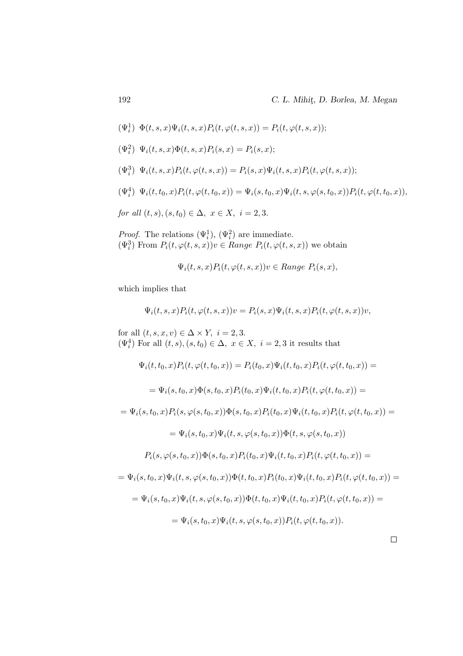$$
(\Psi^1_i)\enskip \Phi(t,s,x)\Psi_i(t,s,x)P_i(t,\varphi(t,s,x))=P_i(t,\varphi(t,s,x));
$$

$$
(\Psi_i^2) \ \ \Psi_i(t,s,x) \Phi(t,s,x) P_i(s,x) = P_i(s,x);
$$

$$
(\Psi_i^3) \ \ \Psi_i(t,s,x) P_i(t,\varphi(t,s,x)) = P_i(s,x) \Psi_i(t,s,x) P_i(t,\varphi(t,s,x));
$$

$$
(\Psi_i^4) \ \ \Psi_i(t,t_0,x) P_i(t,\varphi(t,t_0,x)) = \Psi_i(s,t_0,x) \Psi_i(t,s,\varphi(s,t_0,x)) P_i(t,\varphi(t,t_0,x)),
$$

for all  $(t, s), (s, t_0) \in \Delta$ ,  $x \in X$ ,  $i = 2, 3$ .

*Proof.* The relations  $(\Psi_i^1)$ ,  $(\Psi_i^2)$  are immediate.  $(\Psi_i^3)$  From  $P_i(t, \varphi(t, s, x))v \in Range P_i(t, \varphi(t, s, x))$  we obtain

$$
\Psi_i(t,s,x)P_i(t,\varphi(t,s,x))v \in Range \ P_i(s,x),
$$

which implies that

$$
\Psi_i(t,s,x)P_i(t,\varphi(t,s,x))v = P_i(s,x)\Psi_i(t,s,x)P_i(t,\varphi(t,s,x))v,
$$

for all  $(t, s, x, v) \in \Delta \times Y$ ,  $i = 2, 3$ .  $(\Psi_i^4)$  For all  $(t, s), (s, t_0) \in \Delta$ ,  $x \in X$ ,  $i = 2, 3$  it results that

$$
\Psi_i(t, t_0, x) P_i(t, \varphi(t, t_0, x)) = P_i(t_0, x) \Psi_i(t, t_0, x) P_i(t, \varphi(t, t_0, x)) =
$$

$$
= \Psi_i(s,t_0,x) \Phi(s,t_0,x) P_i(t_0,x) \Psi_i(t,t_0,x) P_i(t,\varphi(t,t_0,x)) =
$$

$$
= \Psi_i(s,t_0,x) P_i(s,\varphi(s,t_0,x)) \Phi(s,t_0,x) P_i(t_0,x) \Psi_i(t,t_0,x) P_i(t,\varphi(t,t_0,x)) =
$$

$$
= \Psi_i(s, t_0, x) \Psi_i(t, s, \varphi(s, t_0, x)) \Phi(t, s, \varphi(s, t_0, x))
$$

$$
P_i(s, \varphi(s, t_0, x))\Phi(s, t_0, x)P_i(t_0, x)\Psi_i(t, t_0, x)P_i(t, \varphi(t, t_0, x))=
$$

$$
= \Psi_i(s, t_0, x) \Psi_i(t, s, \varphi(s, t_0, x)) \Phi(t, t_0, x) P_i(t_0, x) \Psi_i(t, t_0, x) P_i(t, \varphi(t, t_0, x)) =
$$
  

$$
= \Psi_i(s, t_0, x) \Psi_i(t, s, \varphi(s, t_0, x)) \Phi(t, t_0, x) \Psi_i(t, t_0, x) P_i(t, \varphi(t, t_0, x)) =
$$
  

$$
= \Psi_i(s, t_0, x) \Psi_i(t, s, \varphi(s, t_0, x)) P_i(t, \varphi(t, t_0, x)).
$$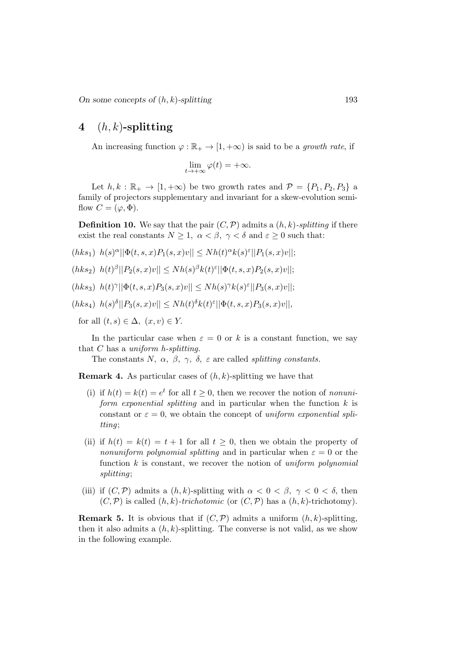# 4  $(h, k)$ -splitting

An increasing function  $\varphi : \mathbb{R}_+ \to [1, +\infty)$  is said to be a growth rate, if

$$
\lim_{t \to +\infty} \varphi(t) = +\infty.
$$

Let  $h, k : \mathbb{R}_+ \to [1, +\infty)$  be two growth rates and  $\mathcal{P} = \{P_1, P_2, P_3\}$  a family of projectors supplementary and invariant for a skew-evolution semiflow  $C = (\varphi, \Phi)$ .

**Definition 10.** We say that the pair  $(C, \mathcal{P})$  admits a  $(h, k)$ -splitting if there exist the real constants  $N \geq 1$ ,  $\alpha < \beta$ ,  $\gamma < \delta$  and  $\varepsilon \geq 0$  such that:

- $(hks_1) \ \ h(s)^{\alpha} ||\Phi(t,s,x)P_1(s,x)v|| \leq Nh(t)^{\alpha}k(s)^{\varepsilon}||P_1(s,x)v||;$
- $(hks_2)$   $h(t)^{\beta}||P_2(s,x)v|| \leq Nh(s)^{\beta}k(t)^{\varepsilon}||\Phi(t,s,x)P_2(s,x)v||;$
- $(hks_3)$   $h(t)^\gamma ||\Phi(t,s,x)P_3(s,x)v|| \leq Nh(s)^\gamma k(s)^\varepsilon ||P_3(s,x)v||;$
- $(hks_4)$   $h(s)^\delta ||P_3(s,x)v|| \leq Nh(t)^\delta k(t)^\varepsilon ||\Phi(t,s,x)P_3(s,x)v||,$

for all  $(t, s) \in \Delta$ ,  $(x, v) \in Y$ .

In the particular case when  $\varepsilon = 0$  or k is a constant function, we say that  $C$  has a uniform h-splitting.

The constants N,  $\alpha$ ,  $\beta$ ,  $\gamma$ ,  $\delta$ ,  $\varepsilon$  are called *splitting constants*.

**Remark 4.** As particular cases of  $(h, k)$ -splitting we have that

- (i) if  $h(t) = k(t) = e^t$  for all  $t \geq 0$ , then we recover the notion of *nonuni*form exponential splitting and in particular when the function  $k$  is constant or  $\varepsilon = 0$ , we obtain the concept of uniform exponential splitting;
- (ii) if  $h(t) = k(t) = t + 1$  for all  $t \geq 0$ , then we obtain the property of nonuniform polynomial splitting and in particular when  $\varepsilon = 0$  or the function  $k$  is constant, we recover the notion of uniform polynomial splitting;
- (iii) if  $(C, \mathcal{P})$  admits a  $(h, k)$ -splitting with  $\alpha < 0 < \beta$ ,  $\gamma < 0 < \delta$ , then  $(C, \mathcal{P})$  is called  $(h, k)$ -trichotomic (or  $(C, \mathcal{P})$  has a  $(h, k)$ -trichotomy).

**Remark 5.** It is obvious that if  $(C, \mathcal{P})$  admits a uniform  $(h, k)$ -splitting, then it also admits a  $(h, k)$ -splitting. The converse is not valid, as we show in the following example.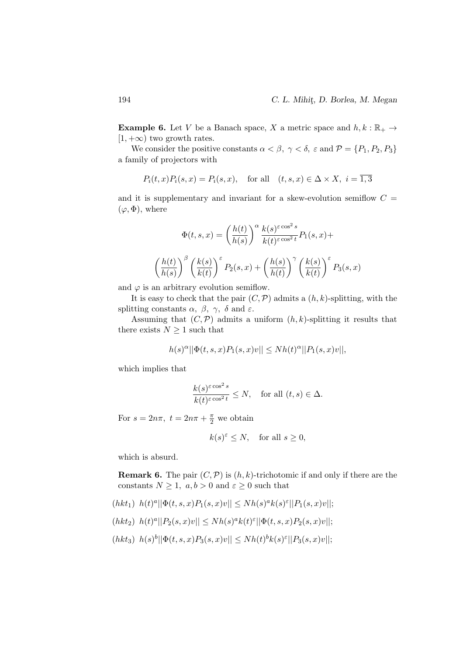**Example 6.** Let V be a Banach space, X a metric space and  $h, k : \mathbb{R}_+ \to$  $[1, +\infty)$  two growth rates.

We consider the positive constants  $\alpha < \beta$ ,  $\gamma < \delta$ ,  $\varepsilon$  and  $\mathcal{P} = \{P_1, P_2, P_3\}$ a family of projectors with

$$
P_i(t, x)P_i(s, x) = P_i(s, x), \quad \text{for all} \quad (t, s, x) \in \Delta \times X, \ i = \overline{1, 3}
$$

and it is supplementary and invariant for a skew-evolution semiflow  $C =$  $(\varphi, \Phi)$ , where

$$
\Phi(t,s,x) = \left(\frac{h(t)}{h(s)}\right)^{\alpha} \frac{k(s)^{\varepsilon \cos^2 s}}{k(t)^{\varepsilon \cos^2 t}} P_1(s,x) +
$$

$$
\left(\frac{h(t)}{h(s)}\right)^{\beta} \left(\frac{k(s)}{k(t)}\right)^{\varepsilon} P_2(s,x) + \left(\frac{h(s)}{h(t)}\right)^{\gamma} \left(\frac{k(s)}{k(t)}\right)^{\varepsilon} P_3(s,x)
$$

and  $\varphi$  is an arbitrary evolution semiflow.

It is easy to check that the pair  $(C, \mathcal{P})$  admits a  $(h, k)$ -splitting, with the splitting constants  $\alpha$ ,  $\beta$ ,  $\gamma$ ,  $\delta$  and  $\varepsilon$ .

Assuming that  $(C, \mathcal{P})$  admits a uniform  $(h, k)$ -splitting it results that there exists  $N > 1$  such that

$$
h(s)^\alpha||\Phi(t,s,x)P_1(s,x)v|| \leq Nh(t)^\alpha||P_1(s,x)v||,
$$

which implies that

$$
\frac{k(s)^{\varepsilon \cos^2 s}}{k(t)^{\varepsilon \cos^2 t}} \le N, \quad \text{for all } (t, s) \in \Delta.
$$

For  $s = 2n\pi$ ,  $t = 2n\pi + \frac{\pi}{2}$  we obtain

$$
k(s)^{\varepsilon} \leq N
$$
, for all  $s \geq 0$ ,

which is absurd.

**Remark 6.** The pair  $(C, \mathcal{P})$  is  $(h, k)$ -trichotomic if and only if there are the constants  $N \geq 1$ ,  $a, b > 0$  and  $\varepsilon \geq 0$  such that

 $(hkt_1)$   $h(t)^a ||\Phi(t, s, x)P_1(s, x)v|| \leq Nh(s)^a k(s)^{\varepsilon} ||P_1(s, x)v||;$ 

(*hkt*<sub>2</sub>) 
$$
h(t)^a ||P_2(s,x)v|| \leq Nh(s)^a k(t)^{\varepsilon} ||\Phi(t,s,x)P_2(s,x)v||;
$$

 $(hkt_3)$   $h(s)^b ||\Phi(t, s, x)P_3(s, x)v|| \leq Nh(t)^bk(s)^{\varepsilon}||P_3(s, x)v||;$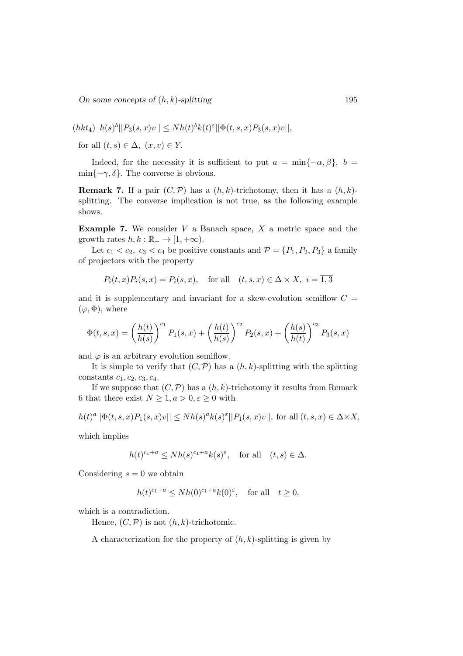On some concepts of  $(h, k)$ -splitting 195

(*hkt*<sub>4</sub>) 
$$
h(s)^b ||P_3(s,x)v|| \leq Nh(t)^b k(t)^{\varepsilon} ||\Phi(t,s,x)P_3(s,x)v||,
$$

for all  $(t, s) \in \Delta$ ,  $(x, v) \in Y$ .

Indeed, for the necessity it is sufficient to put  $a = \min\{-\alpha, \beta\}, b =$  $\min\{-\gamma, \delta\}$ . The converse is obvious.

**Remark 7.** If a pair  $(C, \mathcal{P})$  has a  $(h, k)$ -trichotomy, then it has a  $(h, k)$ splitting. The converse implication is not true, as the following example shows.

**Example 7.** We consider  $V$  a Banach space,  $X$  a metric space and the growth rates  $h, k : \mathbb{R}_+ \to [1, +\infty)$ .

Let  $c_1 < c_2$ ,  $c_3 < c_4$  be positive constants and  $\mathcal{P} = \{P_1, P_2, P_3\}$  a family of projectors with the property

$$
P_i(t, x)P_i(s, x) = P_i(s, x), \quad \text{for all} \quad (t, s, x) \in \Delta \times X, \ i = \overline{1, 3}
$$

and it is supplementary and invariant for a skew-evolution semiflow  $C =$  $(\varphi, \Phi)$ , where

$$
\Phi(t,s,x) = \left(\frac{h(t)}{h(s)}\right)^{c_1} P_1(s,x) + \left(\frac{h(t)}{h(s)}\right)^{c_2} P_2(s,x) + \left(\frac{h(s)}{h(t)}\right)^{c_3} P_3(s,x)
$$

and  $\varphi$  is an arbitrary evolution semiflow.

It is simple to verify that  $(C, \mathcal{P})$  has a  $(h, k)$ -splitting with the splitting constants  $c_1, c_2, c_3, c_4$ .

If we suppose that  $(C, \mathcal{P})$  has a  $(h, k)$ -trichotomy it results from Remark 6 that there exist  $N \geq 1, a > 0, \varepsilon \geq 0$  with

$$
h(t)^a||\Phi(t,s,x)P_1(s,x)v|| \leq Nh(s)^a k(s)^{\varepsilon} ||P_1(s,x)v||, \text{ for all } (t,s,x)\in \Delta\times X,
$$

which implies

$$
h(t)^{c_1+a} \le Nh(s)^{c_1+a}k(s)^{\varepsilon}, \quad \text{for all} \quad (t,s)\in\Delta.
$$

Considering  $s = 0$  we obtain

$$
h(t)^{c_1+a} \le Nh(0)^{c_1+a}k(0)^{\varepsilon}, \quad \text{for all} \quad t \ge 0,
$$

which is a contradiction.

Hence,  $(C, \mathcal{P})$  is not  $(h, k)$ -trichotomic.

A characterization for the property of  $(h, k)$ -splitting is given by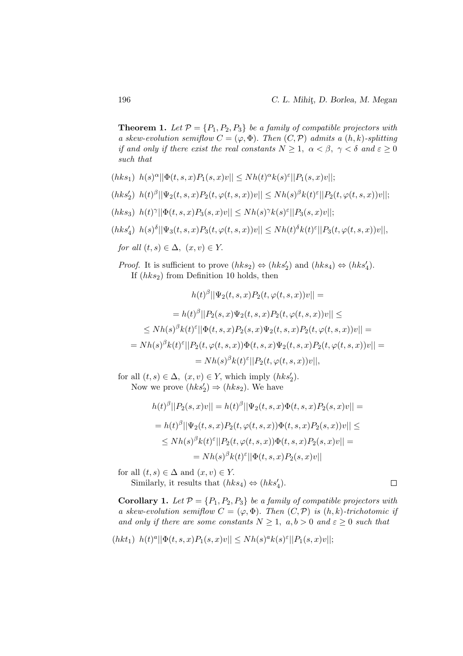**Theorem 1.** Let  $P = \{P_1, P_2, P_3\}$  be a family of compatible projectors with a skew-evolution semiflow  $C = (\varphi, \Phi)$ . Then  $(C, \mathcal{P})$  admits a  $(h, k)$ -splitting if and only if there exist the real constants  $N \geq 1$ ,  $\alpha < \beta$ ,  $\gamma < \delta$  and  $\varepsilon \geq 0$ such that

- $(hks_1)$   $h(s)^\alpha ||\Phi(t, s, x)P_1(s, x)v|| \leq Nh(t)^\alpha k(s)^\varepsilon ||P_1(s, x)v||;$
- $(hks_2')$   $h(t)^\beta ||\Psi_2(t,s,x)P_2(t,\varphi(t,s,x))v|| \leq Nh(s)^\beta k(t)^\varepsilon ||P_2(t,\varphi(t,s,x))v||;$
- $(hks_3)$   $h(t)^\gamma ||\Phi(t,s,x)P_3(s,x)v|| \leq Nh(s)^\gamma k(s)^\varepsilon ||P_3(s,x)v||;$
- $(hks_4')\ \ h(s)^\delta||\Psi_3(t,s,x)P_3(t,\varphi(t,s,x))v||\leq Nh(t)^\delta k(t)^\varepsilon ||P_3(t,\varphi(t,s,x))v||,$
- for all  $(t, s) \in \Delta$ ,  $(x, v) \in Y$ .

*Proof.* It is sufficient to prove  $(hks_2) \Leftrightarrow (hks'_2)$  and  $(hks_4) \Leftrightarrow (hks'_4)$ . If  $(hks_2)$  from Definition 10 holds, then

$$
h(t)^{\beta} || \Psi_2(t, s, x) P_2(t, \varphi(t, s, x)) v || =
$$
  
=  $h(t)^{\beta} || P_2(s, x) \Psi_2(t, s, x) P_2(t, \varphi(t, s, x)) v || \le$   
 $\leq N h(s)^{\beta} k(t)^{\varepsilon} || \Phi(t, s, x) P_2(s, x) \Psi_2(t, s, x) P_2(t, \varphi(t, s, x)) v || =$   
=  $N h(s)^{\beta} k(t)^{\varepsilon} || P_2(t, \varphi(t, s, x)) \Phi(t, s, x) \Psi_2(t, s, x) P_2(t, \varphi(t, s, x)) v ||$   
=  $N h(s)^{\beta} k(t)^{\varepsilon} || P_2(t, \varphi(t, s, x)) v ||$ ,

for all  $(t, s) \in \Delta$ ,  $(x, v) \in Y$ , which imply  $(hks'_2)$ . Now we prove  $(hks'_2) \Rightarrow (hks_2)$ . We have

$$
h(t)^{\beta}||P_2(s,x)v|| = h(t)^{\beta}||\Psi_2(t,s,x)\Phi(t,s,x)P_2(s,x)v|| =
$$
  
\n
$$
= h(t)^{\beta}||\Psi_2(t,s,x)P_2(t,\varphi(t,s,x))\Phi(t,s,x)P_2(s,x)v|| \le
$$
  
\n
$$
\leq Nh(s)^{\beta}k(t)^{\varepsilon}||P_2(t,\varphi(t,s,x))\Phi(t,s,x)P_2(s,x)v|| =
$$
  
\n
$$
=Nh(s)^{\beta}k(t)^{\varepsilon}||\Phi(t,s,x)P_2(s,x)v||
$$

for all  $(t, s) \in \Delta$  and  $(x, v) \in Y$ . Similarly, it results that  $(hks_4) \Leftrightarrow (hks'_4)$ .

 $\Box$ 

**Corollary 1.** Let  $P = \{P_1, P_2, P_3\}$  be a family of compatible projectors with a skew-evolution semiflow  $C = (\varphi, \Phi)$ . Then  $(C, \mathcal{P})$  is  $(h, k)$ -trichotomic if and only if there are some constants  $N \geq 1$ ,  $a, b > 0$  and  $\varepsilon \geq 0$  such that

(*hkt*<sub>1</sub>) 
$$
h(t)^a ||\Phi(t, s, x)P_1(s, x)v|| \leq Nh(s)^a k(s)^{\varepsilon} ||P_1(s, x)v||;
$$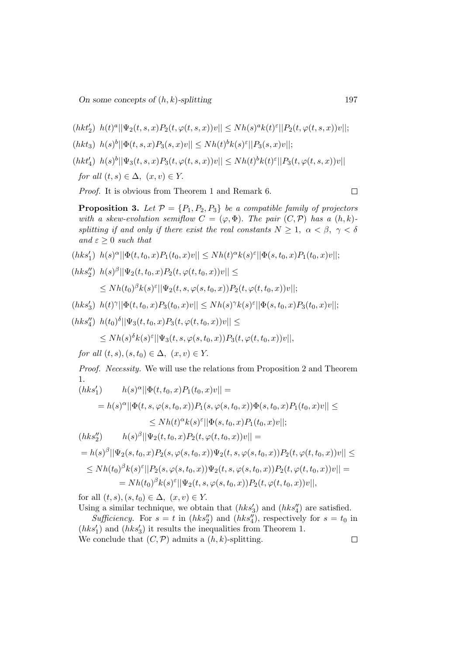$\label{eq:4.1} (hkt_2')\ \ h(t)^a||\Psi_2(t,s,x)P_2(t,\varphi(t,s,x))v||\leq Nh(s)^ak(t)^{\varepsilon}||P_2(t,\varphi(t,s,x))v||;$  $(hkt_3)$   $h(s)^b ||\Phi(t, s, x)P_3(s, x)v|| \leq Nh(t)^bk(s)^{\varepsilon}||P_3(s, x)v||;$  $(hkt'_4)$   $h(s)^b||\Psi_3(t, s, x)P_3(t, \varphi(t, s, x))v|| \leq Nh(t)^bk(t)^{\varepsilon}||P_3(t, \varphi(t, s, x))v||$ for all  $(t, s) \in \Delta$ ,  $(x, v) \in Y$ .

Proof. It is obvious from Theorem 1 and Remark 6.

**Proposition 3.** Let  $\mathcal{P} = \{P_1, P_2, P_3\}$  be a compatible family of projectors with a skew-evolution semiflow  $C = (\varphi, \Phi)$ . The pair  $(C, \mathcal{P})$  has a  $(h, k)$ splitting if and only if there exist the real constants  $N \geq 1$ ,  $\alpha < \beta$ ,  $\gamma < \delta$ and  $\varepsilon \geq 0$  such that

- $\label{eq:4.1} (hks_1')\ \ h(s)^\alpha||\Phi(t,t_0,x)P_1(t_0,x)v||\leq Nh(t)^\alpha k(s)^\varepsilon||\Phi(s,t_0,x)P_1(t_0,x)v||;$
- $(hks''_2)$   $h(s)^\beta ||\Psi_2(t,t_0,x)P_2(t,\varphi(t,t_0,x))v|| \leq$

$$
\leq Nh(t_0)^{\beta}k(s)^{\varepsilon}||\Psi_2(t,s,\varphi(s,t_0,x))P_2(t,\varphi(t,t_0,x))v||;
$$

 $(hks_3')$   $h(t)^\gamma ||\Phi(t,t_0,x)P_3(t_0,x)v|| \leq Nh(s)^\gamma k(s)^\varepsilon ||\Phi(s,t_0,x)P_3(t_0,x)v||;$ 

$$
(hks''_4) \ \ h(t_0)^\delta ||\Psi_3(t,t_0,x)P_3(t,\varphi(t,t_0,x))v|| \leq
$$

$$
\leq Nh(s)^{\delta}k(s)^{\varepsilon}||\Psi_{3}(t,s,\varphi(s,t_{0},x))P_{3}(t,\varphi(t,t_{0},x))v||,
$$

for all  $(t, s), (s, t_0) \in \Delta$ ,  $(x, v) \in Y$ .

Proof. Necessity. We will use the relations from Proposition 2 and Theorem 1.  $(11)^{2}$ 

$$
(hks'_1) \t h(s)^\alpha ||\Phi(t, t_0, x)P_1(t_0, x)v|| =
$$
  
\t\t\t
$$
= h(s)^\alpha ||\Phi(t, s, \varphi(s, t_0, x))P_1(s, \varphi(s, t_0, x))\Phi(s, t_0, x)P_1(t_0, x)v|| \le
$$
  
\t\t\t
$$
\leq Nh(t)^\alpha k(s)^\varepsilon ||\Phi(s, t_0, x)P_1(t_0, x)v||;
$$
  
\n
$$
(hks''_2) \t h(s)^\beta ||\Psi_2(t, t_0, x)P_2(t, \varphi(t, t_0, x))v|| =
$$
  
\t\t\t
$$
= h(s)^\beta ||\Psi_2(s, t_0, x)P_2(s, \varphi(s, t_0, x))\Psi_2(t, s, \varphi(s, t_0, x))P_2(t, \varphi(t, t_0, x))v|| \le
$$
  
\t\t\t
$$
\leq Nh(t_0)^\beta k(s)^\varepsilon ||P_2(s, \varphi(s, t_0, x))\Psi_2(t, s, \varphi(s, t_0, x))P_2(t, \varphi(t, t_0, x))v|| =
$$

$$
= Nh(t_0)^{\beta}k(s)^{\varepsilon}||\Psi_2(t,s,\varphi(s,t_0,x))P_2(t,\varphi(t,t_0,x))v||,
$$
  
for all  $(t,s),(s,t_0)\in\Delta$ ,  $(x,v)\in Y$ .

Using a similar technique, we obtain that  $(hks'_3)$  and  $(hks''_4)$  are satisfied.

Sufficiency. For  $s = t$  in  $(hks_2'')$  and  $(hks_4'')$ , respectively for  $s = t_0$  in  $(hks'_1)$  and  $(hks'_3)$  it results the inequalities from Theorem 1. We conclude that  $(C, \mathcal{P})$  admits a  $(h, k)$ -splitting.  $\Box$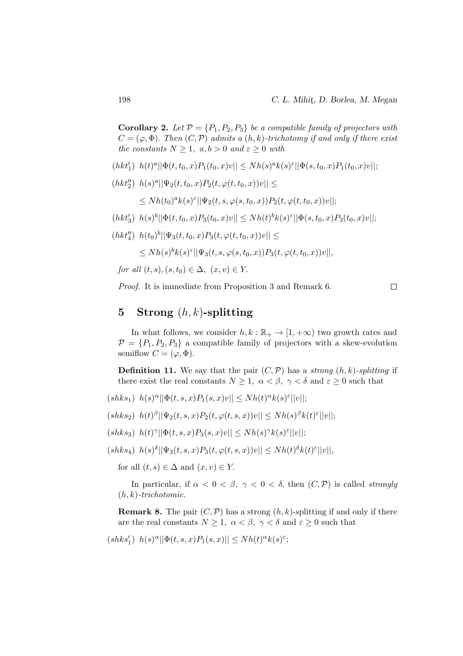**Corollary 2.** Let  $\mathcal{P} = \{P_1, P_2, P_3\}$  be a compatible family of projectors with  $C = (\varphi, \Phi)$ . Then  $(C, \mathcal{P})$  admits a  $(h, k)$ -trichotomy if and only if there exist the constants  $N \geq 1$ ,  $a, b > 0$  and  $\varepsilon \geq 0$  with

- $(hkt_1')$   $h(t)^a ||\Phi(t, t_0, x)P_1(t_0, x)v|| \leq Nh(s)^a k(s)^{\varepsilon} ||\Phi(s, t_0, x)P_1(t_0, x)v||;$
- $(hkt''_2)$   $h(s)^a||\Psi_2(t,t_0,x)P_2(t,\varphi(t,t_0,x))v|| \leq$

 $\leq Nh(t_{0})^{a}k(s)^{\varepsilon}||\Psi_{2}(t,s,\varphi(s,t_{0},x))P_{2}(t,\varphi(t,t_{0},x))v||;$ 

- $(hkt'_3)$   $h(s)^b \|\Phi(t,t_0,x)P_3(t_0,x)v\| \leq Nh(t)^bk(s)^{\varepsilon} \|\Phi(s,t_0,x)P_3(t_0,x)v\|;$
- $(hkt''_4)$   $h(t_0)^b || \Psi_3(t, t_0, x) P_3(t, \varphi(t, t_0, x))v|| \leq$

$$
\leq Nh(s)^{b}k(s)^{\varepsilon}||\Psi_{3}(t,s,\varphi(s,t_{0},x))P_{3}(t,\varphi(t,t_{0},x))v||,
$$

for all  $(t, s), (s, t_0) \in \Delta$ ,  $(x, v) \in Y$ .

Proof. It is immediate from Proposition 3 and Remark 6.

 $\Box$ 

# 5 Strong  $(h, k)$ -splitting

In what follows, we consider  $h, k : \mathbb{R}_+ \to [1, +\infty)$  two growth rates and  $\mathcal{P} = \{P_1, P_2, P_3\}$  a compatible family of projectors with a skew-evolution semiflow  $C = (\varphi, \Phi)$ .

**Definition 11.** We say that the pair  $(C, \mathcal{P})$  has a strong  $(h, k)$ -splitting if there exist the real constants  $N \geq 1$ ,  $\alpha < \beta$ ,  $\gamma < \delta$  and  $\varepsilon \geq 0$  such that

- $(shks_1) \ h(s)^{\alpha} || \Phi(t,s,x) P_1(s,x)v|| \leq Nh(t)^{\alpha} k(s)^{\varepsilon} ||v||;$
- $(shks_2) \ \ h(t)^{\beta} || \Psi_2(t,s,x) P_2(t,\varphi(t,s,x))v|| \leq Nh(s)^{\beta}k(t)^{\varepsilon}||v||;$
- $(shks_3) \ h(t)^\gamma ||\Phi(t,s,x)P_3(s,x)v|| \leq Nh(s)^\gamma k(s)^\varepsilon ||v||;$
- $(shks_4) \ \ h(s)^{\delta} || \Psi_3(t,s,x) P_3(t,\varphi(t,s,x))v|| \leq Nh(t)^{\delta}k(t)^{\varepsilon}||v||,$

for all  $(t, s) \in \Delta$  and  $(x, v) \in Y$ .

In particular, if  $\alpha < 0 < \beta$ ,  $\gamma < 0 < \delta$ , then  $(C, \mathcal{P})$  is called *strongly*  $(h, k)$ -trichotomic.

**Remark 8.** The pair  $(C, \mathcal{P})$  has a strong  $(h, k)$ -splitting if and only if there are the real constants  $N \geq 1$ ,  $\alpha < \beta$ ,  $\gamma < \delta$  and  $\varepsilon \geq 0$  such that

$$
(shks_1')\ \ h(s)^{\alpha}||\Phi(t,s,x)P_1(s,x)||\leq Nh(t)^{\alpha}k(s)^{\varepsilon};
$$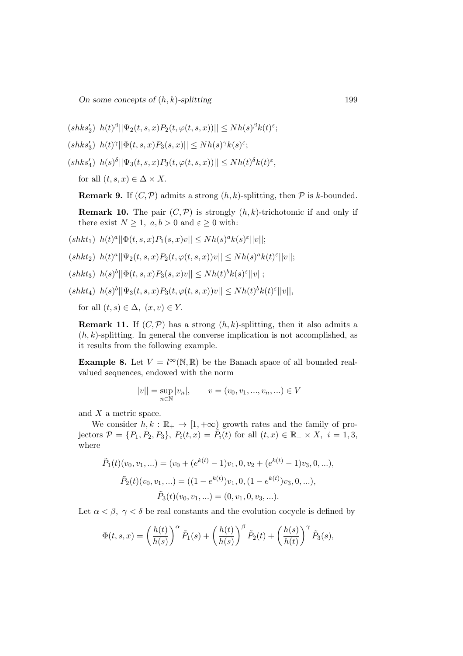On some concepts of  $(h, k)$ -splitting 199

 $(shks_2')$   $h(t)^\beta ||\Psi_2(t,s,x)P_2(t,\varphi(t,s,x))|| \leq Nh(s)^\beta k(t)^\varepsilon;$ 

$$
(shks_3')\ \ h(t)^\gamma||\Phi(t,s,x)P_3(s,x)||\leq Nh(s)^\gamma k(s)^\varepsilon;
$$

 $(shks_4')$   $h(s)^\delta | \Psi_3(t, s, x) P_3(t, \varphi(t, s, x)) | \leq Nh(t)^\delta k(t)^\varepsilon,$ 

for all  $(t, s, x) \in \Delta \times X$ .

**Remark 9.** If  $(C, \mathcal{P})$  admits a strong  $(h, k)$ -splitting, then  $\mathcal{P}$  is k-bounded.

**Remark 10.** The pair  $(C, \mathcal{P})$  is strongly  $(h, k)$ -trichotomic if and only if there exist  $N \geq 1$ ,  $a, b > 0$  and  $\varepsilon \geq 0$  with:

 $(shkt_1) \ h(t)^a ||\Phi(t,s,x)P_1(s,x)v|| \leq Nh(s)^ak(s)^{\varepsilon}||v||;$ 

- $(shkt_2) \ \ h(t)^a || \Psi_2(t, s, x) P_2(t, \varphi(t, s, x)) v || \leq Nh(s)^a k(t)^{\varepsilon} ||v||;$
- $(shkt_3) \ h(s)^b || \Phi(t,s,x) P_3(s,x)v|| \leq Nh(t)^b k(s)^{\varepsilon} ||v||;$

 $(shkt_4)$   $h(s)^b || \Psi_3(t, s, x) P_3(t, \varphi(t, s, x))v|| \leq Nh(t)^b k(t)^{\varepsilon} ||v||,$ 

for all  $(t, s) \in \Delta$ ,  $(x, v) \in Y$ .

**Remark 11.** If  $(C, \mathcal{P})$  has a strong  $(h, k)$ -splitting, then it also admits a  $(h, k)$ -splitting. In general the converse implication is not accomplished, as it results from the following example.

**Example 8.** Let  $V = l^{\infty}(\mathbb{N}, \mathbb{R})$  be the Banach space of all bounded realvalued sequences, endowed with the norm

$$
||v|| = \sup_{n \in \mathbb{N}} |v_n|, \qquad v = (v_0, v_1, ..., v_n, ...) \in V
$$

and X a metric space.

We consider  $h, k : \mathbb{R}_+ \to [1, +\infty)$  growth rates and the family of projectors  $\mathcal{P} = \{P_1, P_2, P_3\}, P_i(t, x) = \tilde{P}_i(t)$  for all  $(t, x) \in \mathbb{R}_+ \times X$ ,  $i = \overline{1, 3}$ , where

$$
\tilde{P}_1(t)(v_0, v_1, \ldots) = (v_0 + (e^{k(t)} - 1)v_1, 0, v_2 + (e^{k(t)} - 1)v_3, 0, \ldots),
$$
  

$$
\tilde{P}_2(t)(v_0, v_1, \ldots) = ((1 - e^{k(t)})v_1, 0, (1 - e^{k(t)})v_3, 0, \ldots),
$$
  

$$
\tilde{P}_3(t)(v_0, v_1, \ldots) = (0, v_1, 0, v_3, \ldots).
$$

Let  $\alpha < \beta$ ,  $\gamma < \delta$  be real constants and the evolution cocycle is defined by

$$
\Phi(t,s,x) = \left(\frac{h(t)}{h(s)}\right)^{\alpha} \tilde{P}_1(s) + \left(\frac{h(t)}{h(s)}\right)^{\beta} \tilde{P}_2(t) + \left(\frac{h(s)}{h(t)}\right)^{\gamma} \tilde{P}_3(s),
$$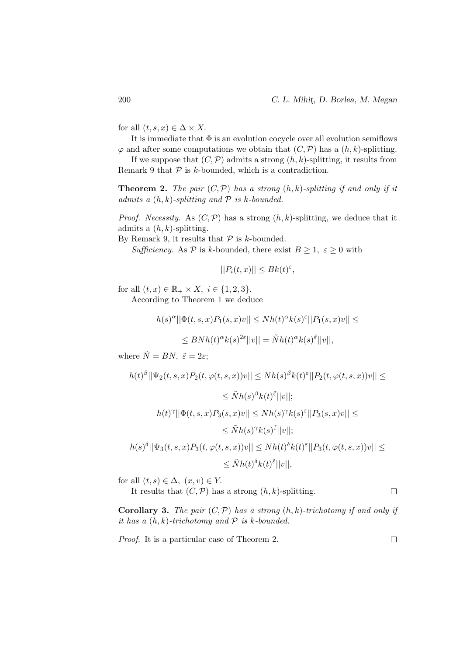for all  $(t, s, x) \in \Delta \times X$ .

It is immediate that  $\Phi$  is an evolution cocycle over all evolution semiflows  $\varphi$  and after some computations we obtain that  $(C, \mathcal{P})$  has a  $(h, k)$ -splitting.

If we suppose that  $(C, \mathcal{P})$  admits a strong  $(h, k)$ -splitting, it results from Remark 9 that  $P$  is k-bounded, which is a contradiction.

**Theorem 2.** The pair  $(C, \mathcal{P})$  has a strong  $(h, k)$ -splitting if and only if it admits a  $(h, k)$ -splitting and  $P$  is k-bounded.

*Proof.* Necessity. As  $(C, \mathcal{P})$  has a strong  $(h, k)$ -splitting, we deduce that it admits a  $(h, k)$ -splitting.

By Remark 9, it results that  $P$  is k-bounded.

Sufficiency. As P is k-bounded, there exist  $B \ge 1$ ,  $\varepsilon \ge 0$  with

$$
||P_i(t,x)|| \leq Bk(t)^{\varepsilon},
$$

for all  $(t, x) \in \mathbb{R}_+ \times X$ ,  $i \in \{1, 2, 3\}$ .

According to Theorem 1 we deduce

$$
h(s)^{\alpha}||\Phi(t,s,x)P_1(s,x)v||\leq Nh(t)^{\alpha}k(s)^{\varepsilon}||P_1(s,x)v||\leq
$$

$$
\leq BNh(t)^{\alpha}k(s)^{2\varepsilon}||v|| = \tilde Nh}(t)^{\alpha}k(s)^{\tilde{\varepsilon}}||v||,
$$

where  $\tilde{N} = BN$ ,  $\tilde{\varepsilon} = 2\varepsilon$ ;

$$
h(t)^{\beta} ||\Psi_2(t,s,x)P_2(t,\varphi(t,s,x))v|| \leq Nh(s)^{\beta}k(t)^{\varepsilon}||P_2(t,\varphi(t,s,x))v|| \leq
$$
  
\n
$$
\leq \tilde{N}h(s)^{\beta}k(t)^{\tilde{\varepsilon}}||v||;
$$
  
\n
$$
h(t)^{\gamma} ||\Phi(t,s,x)P_3(s,x)v|| \leq Nh(s)^{\gamma}k(s)^{\varepsilon}||P_3(s,x)v|| \leq
$$
  
\n
$$
\leq \tilde{N}h(s)^{\gamma}k(s)^{\tilde{\varepsilon}}||v||;
$$
  
\n
$$
h(s)^{\delta} ||\Psi_3(t,s,x)P_3(t,\varphi(t,s,x))v|| \leq Nh(t)^{\delta}k(t)^{\varepsilon}||P_3(t,\varphi(t,s,x))v|| \leq
$$
  
\n
$$
\leq \tilde{N}h(t)^{\delta}k(t)^{\tilde{\varepsilon}}||v||,
$$

for all  $(t, s) \in \Delta$ ,  $(x, v) \in Y$ .

It results that  $(C, \mathcal{P})$  has a strong  $(h, k)$ -splitting.  $\Box$ 

**Corollary 3.** The pair  $(C, \mathcal{P})$  has a strong  $(h, k)$ -trichotomy if and only if it has a  $(h, k)$ -trichotomy and  $P$  is k-bounded.

Proof. It is a particular case of Theorem 2.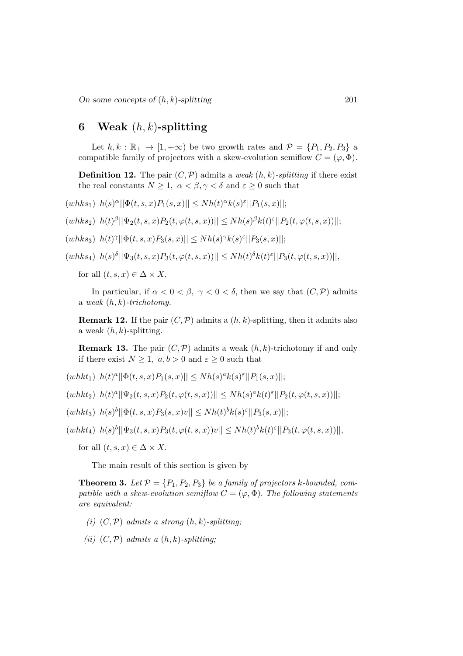# 6 Weak  $(h, k)$ -splitting

Let  $h, k : \mathbb{R}_+ \to [1, +\infty)$  be two growth rates and  $\mathcal{P} = \{P_1, P_2, P_3\}$  a compatible family of projectors with a skew-evolution semiflow  $C = (\varphi, \Phi)$ .

**Definition 12.** The pair  $(C, \mathcal{P})$  admits a weak  $(h, k)$ -splitting if there exist the real constants  $N \geq 1$ ,  $\alpha < \beta, \gamma < \delta$  and  $\varepsilon \geq 0$  such that

 $(whks_1)$   $h(s)^\alpha ||\Phi(t, s, x)P_1(s, x)|| \leq Nh(t)^\alpha k(s)^\varepsilon ||P_1(s, x)||;$ 

 $(whks_2)$   $h(t)^\beta ||\Psi_2(t,s,x)P_2(t,\varphi(t,s,x))|| \leq Nh(s)^\beta k(t)^\varepsilon ||P_2(t,\varphi(t,s,x))||;$ 

 $(whks_3)$   $h(t)^\gamma ||\Phi(t, s, x)P_3(s, x)|| \leq Nh(s)^\gamma k(s)^\varepsilon ||P_3(s, x)||;$ 

$$
(whks_4) \ \ h(s)^\delta \vert \vert \Psi_3(t,s,x) P_3(t,\varphi(t,s,x)) \vert \vert \leq Nh(t)^\delta k(t)^\varepsilon \vert \vert P_3(t,\varphi(t,s,x)) \vert \vert,
$$

for all  $(t, s, x) \in \Delta \times X$ .

In particular, if  $\alpha < 0 < \beta$ ,  $\gamma < 0 < \delta$ , then we say that  $(C, \mathcal{P})$  admits a weak  $(h, k)$ -trichotomy.

**Remark 12.** If the pair  $(C, \mathcal{P})$  admits a  $(h, k)$ -splitting, then it admits also a weak  $(h, k)$ -splitting.

**Remark 13.** The pair  $(C, \mathcal{P})$  admits a weak  $(h, k)$ -trichotomy if and only if there exist  $N \geq 1$ ,  $a, b > 0$  and  $\varepsilon \geq 0$  such that

 $(whkt_1)$   $h(t)^a ||\Phi(t, s, x)P_1(s, x)|| \leq Nh(s)^a k(s)^{\varepsilon} ||P_1(s, x)||;$ 

 $(whkt_2) \ \ h(t)^a ||\Psi_2(t,s,x) P_2(t,\varphi(t,s,x))|| \leq Nh(s)^ak(t)^{\varepsilon} ||P_2(t,\varphi(t,s,x))||;$ 

 $(whkt_3) \ \ h(s)^b ||\Phi(t,s,x)P_3(s,x)v|| \leq Nh(t)^bk(s)^{\varepsilon}||P_3(s,x)||;$ 

 $(whkt_4) \ \ h(s)^b || \Psi_3(t,s,x) P_3(t,\varphi(t,s,x))v|| \leq Nh(t)^bk(t)^{\varepsilon} || P_3(t,\varphi(t,s,x))||,$ 

for all  $(t, s, x) \in \Delta \times X$ .

The main result of this section is given by

**Theorem 3.** Let  $\mathcal{P} = \{P_1, P_2, P_3\}$  be a family of projectors k-bounded, compatible with a skew-evolution semiflow  $C = (\varphi, \Phi)$ . The following statements are equivalent:

- (i)  $(C, \mathcal{P})$  admits a strong  $(h, k)$ -splitting;
- (ii)  $(C, \mathcal{P})$  admits a  $(h, k)$ -splitting;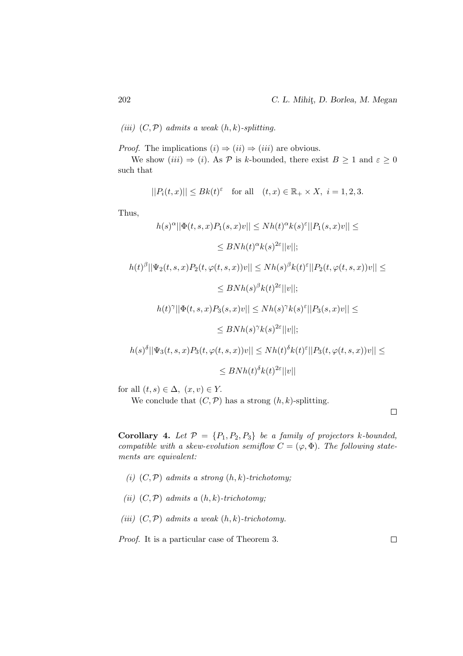(iii)  $(C, \mathcal{P})$  admits a weak  $(h, k)$ -splitting.

*Proof.* The implications  $(i) \Rightarrow (ii) \Rightarrow (iii)$  are obvious.

We show (iii)  $\Rightarrow$  (i). As P is k-bounded, there exist  $B \ge 1$  and  $\varepsilon \ge 0$ such that

$$
||P_i(t,x)|| \le Bk(t)^{\varepsilon} \quad \text{for all} \quad (t,x) \in \mathbb{R}_+ \times X, \ i = 1,2,3.
$$

Thus,

$$
h(s)^{\alpha} ||\Phi(t,s,x)P_1(s,x)v|| \leq Nh(t)^{\alpha}k(s)^{\varepsilon}||P_1(s,x)v|| \leq
$$
  
\n
$$
\leq BNh(t)^{\alpha}k(s)^{2\varepsilon}||v||;
$$
  
\n
$$
h(t)^{\beta} ||\Psi_2(t,s,x)P_2(t,\varphi(t,s,x))v|| \leq Nh(s)^{\beta}k(t)^{\varepsilon}||P_2(t,\varphi(t,s,x))v|| \leq
$$
  
\n
$$
\leq BNh(s)^{\beta}k(t)^{2\varepsilon}||v||;
$$
  
\n
$$
h(t)^{\gamma} ||\Phi(t,s,x)P_3(s,x)v|| \leq Nh(s)^{\gamma}k(s)^{\varepsilon}||P_3(s,x)v|| \leq
$$
  
\n
$$
\leq BNh(s)^{\gamma}k(s)^{2\varepsilon}||v||;
$$
  
\n
$$
h(s)^{\delta} ||\Psi_3(t,s,x)P_3(t,\varphi(t,s,x))v|| \leq Nh(t)^{\delta}k(t)^{\varepsilon}||P_3(t,\varphi(t,s,x))v|| \leq
$$
  
\n
$$
\leq BNh(t)^{\delta}k(t)^{2\varepsilon}||v||
$$

for all  $(t, s) \in \Delta$ ,  $(x, v) \in Y$ .

We conclude that  $(C, \mathcal{P})$  has a strong  $(h, k)$ -splitting.

 $\Box$ 

**Corollary 4.** Let  $P = \{P_1, P_2, P_3\}$  be a family of projectors k-bounded, compatible with a skew-evolution semiflow  $C = (\varphi, \Phi)$ . The following statements are equivalent:

- (i)  $(C, \mathcal{P})$  admits a strong  $(h, k)$ -trichotomy;
- (ii)  $(C, \mathcal{P})$  admits a  $(h, k)$ -trichotomy;
- (iii)  $(C, \mathcal{P})$  admits a weak  $(h, k)$ -trichotomy.

Proof. It is a particular case of Theorem 3.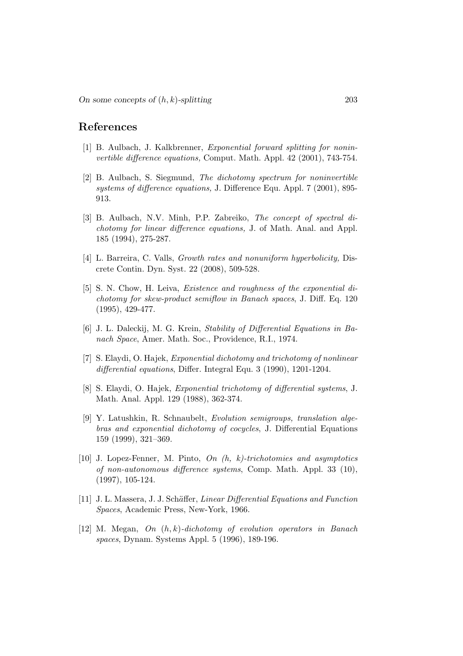### References

- [1] B. Aulbach, J. Kalkbrenner, Exponential forward splitting for noninvertible difference equations, Comput. Math. Appl. 42 (2001), 743-754.
- [2] B. Aulbach, S. Siegmund, The dichotomy spectrum for noninvertible systems of difference equations, J. Difference Equ. Appl. 7 (2001), 895- 913.
- [3] B. Aulbach, N.V. Minh, P.P. Zabreiko, The concept of spectral dichotomy for linear difference equations, J. of Math. Anal. and Appl. 185 (1994), 275-287.
- [4] L. Barreira, C. Valls, Growth rates and nonuniform hyperbolicity, Discrete Contin. Dyn. Syst. 22 (2008), 509-528.
- [5] S. N. Chow, H. Leiva, Existence and roughness of the exponential dichotomy for skew-product semiflow in Banach spaces, J. Diff. Eq. 120 (1995), 429-477.
- [6] J. L. Daleckij, M. G. Krein, Stability of Differential Equations in Banach Space, Amer. Math. Soc., Providence, R.I., 1974.
- [7] S. Elaydi, O. Hajek, Exponential dichotomy and trichotomy of nonlinear differential equations, Differ. Integral Equ. 3 (1990), 1201-1204.
- [8] S. Elaydi, O. Hajek, Exponential trichotomy of differential systems, J. Math. Anal. Appl. 129 (1988), 362-374.
- [9] Y. Latushkin, R. Schnaubelt, Evolution semigroups, translation algebras and exponential dichotomy of cocycles, J. Differential Equations 159 (1999), 321–369.
- [10] J. Lopez-Fenner, M. Pinto,  $On(h, k)-trichotomies and asymptotics$ of non-autonomous difference systems, Comp. Math. Appl. 33 (10), (1997), 105-124.
- [11] J. L. Massera, J. J. Schäffer, Linear Differential Equations and Function Spaces, Academic Press, New-York, 1966.
- $[12]$  M. Megan, On  $(h, k)$ -dichotomy of evolution operators in Banach spaces, Dynam. Systems Appl. 5 (1996), 189-196.